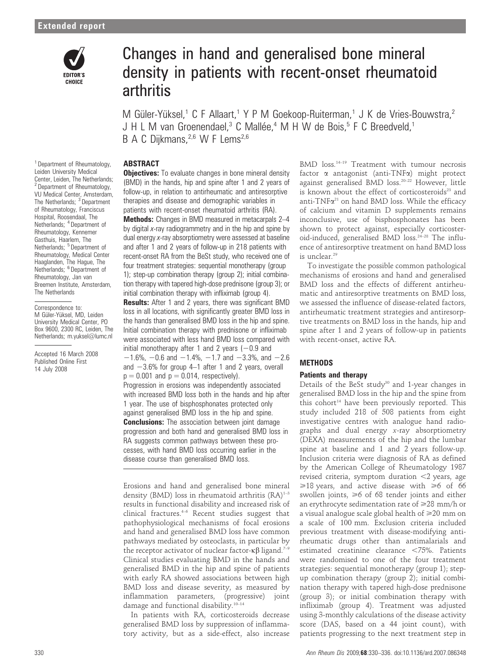

# Changes in hand and generalised bone mineral density in patients with recent-onset rheumatoid arthritis

M Güler-Yüksel,<sup>1</sup> C F Allaart,<sup>1</sup> Y P M Goekoop-Ruiterman,<sup>1</sup> J K de Vries-Bouwstra,<sup>2</sup> J H L M van Groenendael,<sup>3</sup> C Mallée,<sup>4</sup> M H W de Bois,<sup>5</sup> F C Breedveld,<sup>1</sup> B A C Diikmans.<sup>2,6</sup> W F Lems<sup>2,6</sup>

## ABSTRACT

**Objectives:** To evaluate changes in bone mineral density (BMD) in the hands, hip and spine after 1 and 2 years of follow-up, in relation to antirheumatic and antiresorptive therapies and disease and demographic variables in patients with recent-onset rheumatoid arthritis (RA).

**Methods:** Changes in BMD measured in metacarpals 2–4 by digital x-ray radiogrammetry and in the hip and spine by dual energy x-ray absorptiometry were assessed at baseline and after 1 and 2 years of follow-up in 218 patients with recent-onset RA from the BeSt study, who received one of four treatment strategies: sequential monotherapy (group 1); step-up combination therapy (group 2); initial combination therapy with tapered high-dose prednisone (group 3); or initial combination therapy with infliximab (group 4).

Results: After 1 and 2 years, there was significant BMD loss in all locations, with significantly greater BMD loss in the hands than generalised BMD loss in the hip and spine. Initial combination therapy with prednisone or infliximab were associated with less hand BMD loss compared with initial monotherapy after 1 and 2 years  $(-0.9$  and  $-1.6\%$ ,  $-0.6$  and  $-1.4\%$ ,  $-1.7$  and  $-3.3\%$ , and  $-2.6$ and  $-3.6%$  for group 4–1 after 1 and 2 years, overall  $p = 0.001$  and  $p = 0.014$ , respectively).

Progression in erosions was independently associated with increased BMD loss both in the hands and hip after 1 year. The use of bisphosphonates protected only against generalised BMD loss in the hip and spine. **Conclusions:** The association between joint damage progression and both hand and generalised BMD loss in RA suggests common pathways between these processes, with hand BMD loss occurring earlier in the disease course than generalised BMD loss.

Erosions and hand and generalised bone mineral density (BMD) loss in rheumatoid arthritis  $(RA)^{1-3}$ results in functional disability and increased risk of clinical fractures. $4-6$  Recent studies suggest that pathophysiological mechanisms of focal erosions and hand and generalised BMD loss have common pathways mediated by osteoclasts, in particular by the receptor activator of nuclear factor- $\kappa\beta$  ligand.<sup>7-9</sup> Clinical studies evaluating BMD in the hands and generalised BMD in the hip and spine of patients with early RA showed associations between high BMD loss and disease severity, as measured by inflammation parameters, (progressive) joint damage and functional disability.<sup>10-14</sup>

In patients with RA, corticosteroids decrease generalised BMD loss by suppression of inflammatory activity, but as a side-effect, also increase BMD loss.14–19 Treatment with tumour necrosis factor  $\alpha$  antagonist (anti-TNF $\alpha$ ) might protect against generalised BMD loss.20–22 However, little is known about the effect of corticosteroids<sup>23</sup> and anti- $TNF\alpha^{21}$  on hand BMD loss. While the efficacy of calcium and vitamin D supplements remains inconclusive, use of bisphosphonates has been shown to protect against, especially corticosteroid-induced, generalised BMD loss.<sup>24-28</sup> The influence of antiresorptive treatment on hand BMD loss is unclear.<sup>29</sup>

To investigate the possible common pathological mechanisms of erosions and hand and generalised BMD loss and the effects of different antirheumatic and antiresorptive treatments on BMD loss, we assessed the influence of disease-related factors, antirheumatic treatment strategies and antiresorptive treatments on BMD loss in the hands, hip and spine after 1 and 2 years of follow-up in patients with recent-onset, active RA.

# **METHODS** Patients and therapy

Details of the BeSt study<sup>30</sup> and 1-year changes in generalised BMD loss in the hip and the spine from this cohort<sup>14</sup> have been previously reported. This study included 218 of 508 patients from eight investigative centres with analogue hand radiographs and dual energy x-ray absorptiometry (DEXA) measurements of the hip and the lumbar spine at baseline and 1 and 2 years follow-up. Inclusion criteria were diagnosis of RA as defined by the American College of Rheumatology 1987 revised criteria, symptom duration  $\leq$  years, age  $\geq 18$  years, and active disease with  $\geq 6$  of 66 swollen joints,  $\geq 6$  of 68 tender joints and either an erythrocyte sedimentation rate of  $\geq 28$  mm/h or a visual analogue scale global health of  $\geq 20$  mm on a scale of 100 mm. Exclusion criteria included previous treatment with disease-modifying antirheumatic drugs other than antimalarials and estimated creatinine clearance  $\langle 75\% \rangle$ . Patients were randomised to one of the four treatment strategies: sequential monotherapy (group 1); stepup combination therapy (group 2); initial combination therapy with tapered high-dose prednisone (group 3); or initial combination therapy with infliximab (group 4). Treatment was adjusted using 3-monthly calculations of the disease activity score (DAS, based on a 44 joint count), with patients progressing to the next treatment step in

<sup>1</sup> Department of Rheumatology, Leiden University Medical Center, Leiden, The Netherlands; <sup>2</sup> Department of Rheumatology, VU Medical Center, Amsterdam, The Netherlands; <sup>3</sup> Department of Rheumatology, Franciscus Hospital, Roosendaal, The Netherlands; <sup>4</sup> Department of Rheumatology, Kennemer Gasthuis, Haarlem, The Netherlands; <sup>5</sup> Department of Rheumatology, Medical Center Haaglanden, The Hague, The Netherlands; <sup>6</sup> Department of Rheumatology, Jan van Breemen Institute, Amsterdam, The Netherlands

Correspondence to: M Güler-Yüksel, MD, Leiden University Medical Center, PO Box 9600, 2300 RC, Leiden, The Netherlands; m.yuksel@lumc.nl

Accepted 16 March 2008 Published Online First 14 July 2008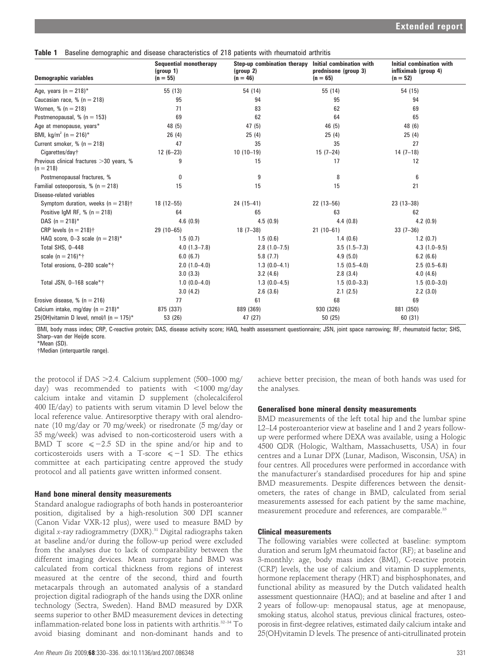Table 1 Baseline demographic and disease characteristics of 218 patients with rheumatoid arthritis

| <b>Demographic variables</b>                            | <b>Sequential monotherapy</b><br>(group 1)<br>$(n = 55)$ | Step-up combination therapy<br>(group 2)<br>$(n = 46)$ | Initial combination with<br>Initial combination with<br>prednisone (group 3)<br>infliximab (group 4)<br>$(n = 65)$<br>$(n = 52)$ |                |
|---------------------------------------------------------|----------------------------------------------------------|--------------------------------------------------------|----------------------------------------------------------------------------------------------------------------------------------|----------------|
| Age, years $(n = 218)^*$                                | 55 (13)                                                  | 54 (14)                                                | 55 (14)                                                                                                                          | 54 (15)        |
| Caucasian race, % ( $n = 218$ )                         | 95                                                       | 94                                                     | 95                                                                                                                               | 94             |
| Women, $% (n = 218)$                                    | 71                                                       | 83                                                     | 62                                                                                                                               | 69             |
| Postmenopausal, % ( $n = 153$ )                         | 69                                                       | 62                                                     | 64                                                                                                                               | 65             |
| Age at menopause, years*                                | 48 (5)                                                   | 47(5)                                                  | 46(5)                                                                                                                            | 48 (6)         |
| BMI, kg/m <sup>2</sup> (n = 216) <sup>*</sup>           | 26(4)                                                    | 25(4)                                                  | 25(4)                                                                                                                            | 25(4)          |
| Current smoker, $% (n = 218)$                           | 47                                                       | 35                                                     | 35                                                                                                                               | 27             |
| Cigarettes/day†                                         | $12(6-23)$                                               | $10(10-19)$                                            | $15(7-24)$                                                                                                                       | $14(7-18)$     |
| Previous clinical fractures >30 years, %<br>$(n = 218)$ | 9                                                        | 15                                                     | 17                                                                                                                               | 12             |
| Postmenopausal fractures, %                             | 0                                                        | 9                                                      | 8                                                                                                                                | 6              |
| Familial osteoporosis, % ( $n = 218$ )                  | 15                                                       | 15                                                     | 15                                                                                                                               | 21             |
| Disease-related variables                               |                                                          |                                                        |                                                                                                                                  |                |
| Symptom duration, weeks ( $n = 218$ ) <sup>†</sup>      | $18(12 - 55)$                                            | $24(15-41)$                                            | $22(13 - 56)$                                                                                                                    | $23(13-38)$    |
| Positive IgM RF, % ( $n = 218$ )                        | 64                                                       | 65                                                     | 63                                                                                                                               | 62             |
| DAS $(n = 218)^*$                                       | 4.6(0.9)                                                 | 4.5(0.9)                                               | 4.4(0.8)                                                                                                                         | 4.2(0.9)       |
| CRP levels $(n = 218)$ †                                | $29(10-65)$                                              | $18(7-38)$                                             | $21(10-61)$                                                                                                                      | $33(7-36)$     |
| HAQ score, $0-3$ scale (n = 218)*                       | 1.5(0.7)                                                 | 1.5(0.6)                                               | 1.4(0.6)                                                                                                                         | 1.2(0.7)       |
| Total SHS, 0-448                                        | $4.0(1.3 - 7.8)$                                         | $2.8(1.0-7.5)$                                         | $3.5(1.5-7.3)$                                                                                                                   | $4.3(1.0-9.5)$ |
| scale $(n = 216)*+$                                     | 6.0(6.7)                                                 | 5.8(7.7)                                               | 4.9(5.0)                                                                                                                         | 6.2(6.6)       |
| Total erosions, 0-280 scale*†                           | $2.0(1.0-4.0)$                                           | $1.3(0.0-4.1)$                                         | $1.5(0.5-4.0)$                                                                                                                   | $2.5(0.5-6.8)$ |
|                                                         | 3.0(3.3)                                                 | 3.2(4.6)                                               | 2.8(3.4)                                                                                                                         | 4.0(4.6)       |
| Total JSN, 0-168 scale*†                                | $1.0(0.0-4.0)$                                           | $1.3(0.0-4.5)$                                         | $1.5(0.0-3.3)$                                                                                                                   | $1.5(0.0-3.0)$ |
|                                                         | 3.0(4.2)                                                 | 2.6(3.6)                                               | 2.1(2.5)                                                                                                                         | 2.2(3.0)       |
| Erosive disease, % ( $n = 216$ )                        | 77                                                       | 61                                                     | 68                                                                                                                               | 69             |
| Calcium intake, mg/day ( $n = 218$ )*                   | 875 (337)                                                | 889 (369)                                              | 930 (326)                                                                                                                        | 881 (350)      |
| 25(OH) vitamin D level, nmol/l (n = 175)*               | 53 (26)                                                  | 47 (27)                                                | 50 (25)                                                                                                                          | 60 (31)        |

BMI, body mass index; CRP, C-reactive protein; DAS, disease activity score; HAQ, health assessment questionnaire; JSN, joint space narrowing; RF, rheumatoid factor; SHS, Sharp–van der Heijde score.

\*Mean (SD).

{Median (interquartile range).

the protocol if DAS  $>$  2.4. Calcium supplement (500–1000 mg/ day) was recommended to patients with  $\lt$ 1000 mg/day calcium intake and vitamin D supplement (cholecalciferol 400 IE/day) to patients with serum vitamin D level below the local reference value. Antiresorptive therapy with oral alendronate (10 mg/day or 70 mg/week) or risedronate (5 mg/day or 35 mg/week) was advised to non-corticosteroid users with a BMD T score  $\leq -2.5$  SD in the spine and/or hip and to corticosteroids users with a T-score  $\leq -1$  SD. The ethics committee at each participating centre approved the study protocol and all patients gave written informed consent.

#### Hand bone mineral density measurements

Standard analogue radiographs of both hands in posteroanterior position, digitalised by a high-resolution 300 DPI scanner (Canon Vidar VXR-12 plus), were used to measure BMD by digital x-ray radiogrammetry  $(DXR)$ .<sup>31</sup> Digital radiographs taken at baseline and/or during the follow-up period were excluded from the analyses due to lack of comparability between the different imaging devices. Mean surrogate hand BMD was calculated from cortical thickness from regions of interest measured at the centre of the second, third and fourth metacarpals through an automated analysis of a standard projection digital radiograph of the hands using the DXR online technology (Sectra, Sweden). Hand BMD measured by DXR seems superior to other BMD measurement devices in detecting inflammation-related bone loss in patients with arthritis.32–34 To avoid biasing dominant and non-dominant hands and to

achieve better precision, the mean of both hands was used for the analyses.

#### Generalised bone mineral density measurements

BMD measurements of the left total hip and the lumbar spine L2–L4 posteroanterior view at baseline and 1 and 2 years followup were performed where DEXA was available, using a Hologic 4500 QDR (Hologic, Waltham, Massachusetts, USA) in four centres and a Lunar DPX (Lunar, Madison, Wisconsin, USA) in four centres. All procedures were performed in accordance with the manufacturer's standardised procedures for hip and spine BMD measurements. Despite differences between the densitometers, the rates of change in BMD, calculated from serial measurements assessed for each patient by the same machine, measurement procedure and references, are comparable.<sup>35</sup>

### Clinical measurements

The following variables were collected at baseline: symptom duration and serum IgM rheumatoid factor (RF); at baseline and 3-monthly: age, body mass index (BMI), C-reactive protein (CRP) levels, the use of calcium and vitamin D supplements, hormone replacement therapy (HRT) and bisphosphonates, and functional ability as measured by the Dutch validated health assessment questionnaire (HAQ); and at baseline and after 1 and 2 years of follow-up: menopausal status, age at menopause, smoking status, alcohol status, previous clinical fractures, osteoporosis in first-degree relatives, estimated daily calcium intake and 25(OH)vitamin D levels. The presence of anti-citrullinated protein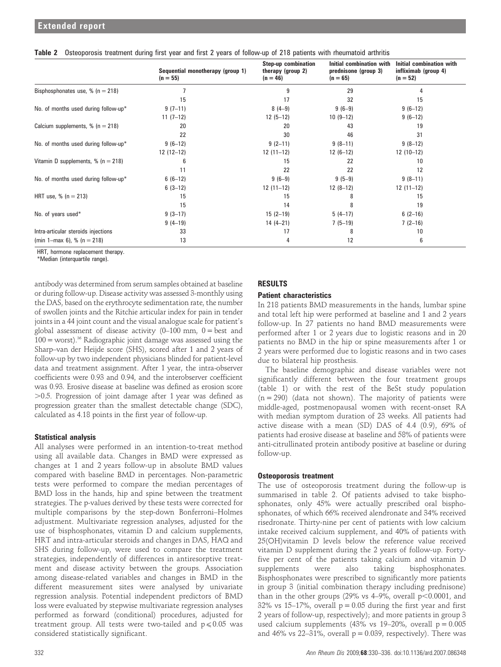|                                      | Sequential monotherapy (group 1)<br>$(n = 55)$ | <b>Step-up combination</b><br>therapy (group 2)<br>$(n = 46)$ | Initial combination with<br>prednisone (group 3)<br>$(n = 65)$ | <b>Initial combination with</b><br>infliximab (group 4)<br>$(n = 52)$ |
|--------------------------------------|------------------------------------------------|---------------------------------------------------------------|----------------------------------------------------------------|-----------------------------------------------------------------------|
| Bisphosphonates use, $% (n = 218)$   |                                                | 9                                                             | 29                                                             |                                                                       |
|                                      | 15                                             | 17                                                            | 32                                                             | 15                                                                    |
| No. of months used during follow-up* | $9(7-11)$                                      | $8(4-9)$                                                      | $9(6-9)$                                                       | $9(6-12)$                                                             |
|                                      | $11(7-12)$                                     | $12(5-12)$                                                    | $10(9-12)$                                                     | $9(6-12)$                                                             |
| Calcium supplements, $% (n = 218)$   | 20                                             | 20                                                            | 43                                                             | 19                                                                    |
|                                      | 22                                             | 30                                                            | 46                                                             | 31                                                                    |
| No. of months used during follow-up* | $9(6-12)$                                      | $9(2-11)$                                                     | $9(8-11)$                                                      | $9(8-12)$                                                             |
|                                      | $12(12-12)$                                    | $12(11-12)$                                                   | $12(6-12)$                                                     | $12(10-12)$                                                           |
| Vitamin D supplements, $% (n = 218)$ | 6                                              | 15                                                            | 22                                                             | 10                                                                    |
|                                      | 11                                             | 22                                                            | 22                                                             | 12                                                                    |
| No. of months used during follow-up* | $6(6-12)$                                      | $9(6-9)$                                                      | $9(5-9)$                                                       | $9(8-11)$                                                             |
|                                      | $6(3-12)$                                      | $12(11-12)$                                                   | $12(8-12)$                                                     | $12(11-12)$                                                           |
| HRT use, $% (n = 213)$               | 15                                             | 15                                                            | 8                                                              | 15                                                                    |
|                                      | 15                                             | 14                                                            | 8                                                              | 19                                                                    |
| No. of years used*                   | $9(3-17)$                                      | $15(2-19)$                                                    | $5(4-17)$                                                      | $6(2-16)$                                                             |
|                                      | $9(4-19)$                                      | $14(4-21)$                                                    | $7(5-19)$                                                      | $7(2-16)$                                                             |
| Intra-articular steroids injections  | 33                                             | 17                                                            | 8                                                              | 10                                                                    |
| (min 1-max 6), % (n = 218)           | 13                                             | 4                                                             | 12                                                             | 6                                                                     |

Table 2 Osteoporosis treatment during first year and first 2 years of follow-up of 218 patients with rheumatoid arthritis

HRT, hormone replacement therapy. \*Median (interquartile range).

antibody was determined from serum samples obtained at baseline or during follow-up. Disease activity was assessed 3-monthly using the DAS, based on the erythrocyte sedimentation rate, the number of swollen joints and the Ritchie articular index for pain in tender joints in a 44 joint count and the visual analogue scale for patient's global assessment of disease activity  $(0-100 \text{ mm}, 0=$  best and  $100 =$  worst).<sup>36</sup> Radiographic joint damage was assessed using the Sharp–van der Heijde score (SHS), scored after 1 and 2 years of follow-up by two independent physicians blinded for patient-level data and treatment assignment. After 1 year, the intra-observer coefficients were 0.93 and 0.94, and the interobserver coefficient was 0.93. Erosive disease at baseline was defined as erosion score  $>$ 0.5. Progression of joint damage after 1 year was defined as progression greater than the smallest detectable change (SDC), calculated as 4.18 points in the first year of follow-up.

## Statistical analysis

All analyses were performed in an intention-to-treat method using all available data. Changes in BMD were expressed as changes at 1 and 2 years follow-up in absolute BMD values compared with baseline BMD in percentages. Non-parametric tests were performed to compare the median percentages of BMD loss in the hands, hip and spine between the treatment strategies. The p-values derived by these tests were corrected for multiple comparisons by the step-down Bonferroni–Holmes adjustment. Multivariate regression analyses, adjusted for the use of bisphosphonates, vitamin D and calcium supplements, HRT and intra-articular steroids and changes in DAS, HAQ and SHS during follow-up, were used to compare the treatment strategies, independently of differences in antiresorptive treatment and disease activity between the groups. Association among disease-related variables and changes in BMD in the different measurement sites were analysed by univariate regression analysis. Potential independent predictors of BMD loss were evaluated by stepwise multivariate regression analyses performed as forward (conditional) procedures, adjusted for treatment group. All tests were two-tailed and  $p \le 0.05$  was considered statistically significant.

# RESULTS

## Patient characteristics

In 218 patients BMD measurements in the hands, lumbar spine and total left hip were performed at baseline and 1 and 2 years follow-up. In 27 patients no hand BMD measurements were performed after 1 or 2 years due to logistic reasons and in 20 patients no BMD in the hip or spine measurements after 1 or 2 years were performed due to logistic reasons and in two cases due to bilateral hip prosthesis.

The baseline demographic and disease variables were not significantly different between the four treatment groups (table 1) or with the rest of the BeSt study population  $(n = 290)$  (data not shown). The majority of patients were middle-aged, postmenopausal women with recent-onset RA with median symptom duration of 23 weeks. All patients had active disease with a mean (SD) DAS of 4.4 (0.9), 69% of patients had erosive disease at baseline and 58% of patients were anti-citrullinated protein antibody positive at baseline or during follow-up.

## Osteoporosis treatment

The use of osteoporosis treatment during the follow-up is summarised in table 2. Of patients advised to take bisphosphonates, only 45% were actually prescribed oral bisphosphonates, of which 66% received alendronate and 34% received risedronate. Thirty-nine per cent of patients with low calcium intake received calcium supplement, and 40% of patients with 25(OH)vitamin D levels below the reference value received vitamin D supplement during the 2 years of follow-up. Fortyfive per cent of the patients taking calcium and vitamin D supplements were also taking bisphosphonates. Bisphosphonates were prescribed to significantly more patients in group 3 (initial combination therapy including prednisone) than in the other groups (29% vs 4–9%, overall  $p<0.0001$ , and 32% vs 15–17%, overall  $p = 0.05$  during the first year and first 2 years of follow-up, respectively); and more patients in group 3 used calcium supplements (43% vs 19-20%, overall  $p = 0.005$ and 46% vs 22–31%, overall  $p = 0.039$ , respectively). There was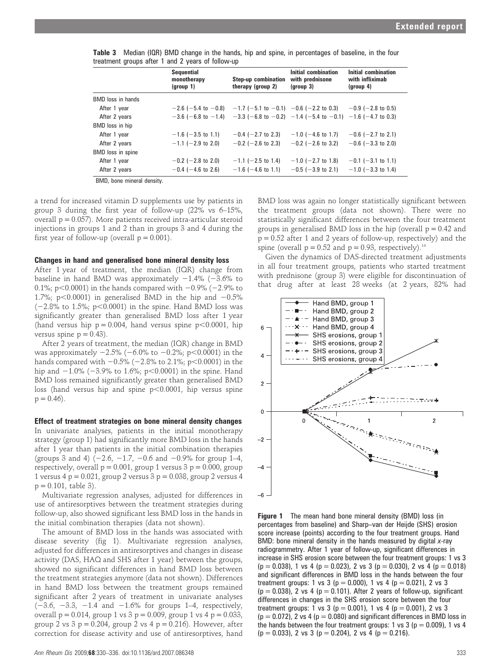| <b>Sequential</b><br>monotherapy<br>(qroup 1) | <b>Step-up combination</b><br>therapy (group 2) | Initial combination<br>with prednisone<br>$\frac{1}{2}$ | Initial combination<br>with infliximab<br>(group 4)                                                                                                                 |
|-----------------------------------------------|-------------------------------------------------|---------------------------------------------------------|---------------------------------------------------------------------------------------------------------------------------------------------------------------------|
|                                               |                                                 |                                                         |                                                                                                                                                                     |
|                                               |                                                 |                                                         |                                                                                                                                                                     |
|                                               |                                                 |                                                         |                                                                                                                                                                     |
|                                               |                                                 |                                                         |                                                                                                                                                                     |
| $-1.6$ ( $-3.5$ to 1.1)                       | $-0.4$ (-2.7 to 2.3)                            | $-1.0$ (-4.6 to 1.7)                                    | $-0.6$ (-2.7 to 2.1)                                                                                                                                                |
| $-1.1$ (-2.9 to 2.0)                          | $-0.2$ (-2.6 to 2.3)                            | $-0.2$ (-2.6 to 3.2)                                    | $-0.6$ ( $-3.3$ to 2.0)                                                                                                                                             |
|                                               |                                                 |                                                         |                                                                                                                                                                     |
| $-0.2$ ( $-2.8$ to 2.0)                       | $-1.1$ (-2.5 to 1.4)                            | $-1.0$ ( $-2.7$ to 1.8)                                 | $-0.1$ (-3.1 to 1.1)                                                                                                                                                |
| $-0.4$ ( $-4.6$ to 2.6)                       | $-1.6$ ( $-4.6$ to 1.1)                         | $-0.5$ ( $-3.9$ to 2.1)                                 | $-1.0$ (-3.3 to 1.4)                                                                                                                                                |
|                                               |                                                 |                                                         | $-2.6$ (-5.4 to -0.8) -1.7 (-5.1 to -0.1) -0.6 (-2.2 to 0.3) -0.9 (-2.8 to 0.5)<br>$-3.6$ (-6.8 to -1.4) -3.3 (-6.8 to -0.2) -1.4 (-5.4 to -0.1) -1.6 (-4.7 to 0.3) |

Table 3 Median (IQR) BMD change in the hands, hip and spine, in percentages of baseline, in the four treatment groups after 1 and 2 years of follow-up

BMD, bone mineral density.

a trend for increased vitamin D supplements use by patients in group 3 during the first year of follow-up (22% vs 6–15%, overall  $p = 0.057$ ). More patients received intra-articular steroid injections in groups 1 and 2 than in groups 3 and 4 during the first year of follow-up (overall  $p = 0.001$ ).

#### Changes in hand and generalised bone mineral density loss

After 1 year of treatment, the median (IQR) change from baseline in hand BMD was approximately  $-1.4\%$  ( $-3.6\%$  to 0.1%; p<0.0001) in the hands compared with  $-0.9\%$  (-2.9% to 1.7%; p $< 0.0001$ ) in generalised BMD in the hip and  $-0.5\%$  $(-2.8\%$  to 1.5%; p $< 0.0001$ ) in the spine. Hand BMD loss was significantly greater than generalised BMD loss after 1 year (hand versus hip  $p = 0.004$ , hand versus spine  $p < 0.0001$ , hip versus spine  $p = 0.43$ .

After 2 years of treatment, the median (IQR) change in BMD was approximately  $-2.5\%$  ( $-6.0\%$  to  $-0.2\%$ ; p $<0.0001$ ) in the hands compared with  $-0.5\%$  ( $-2.8\%$  to 2.1%; p $< 0.0001$ ) in the hip and  $-1.0\%$  ( $-3.9\%$  to 1.6%; p $<0.0001$ ) in the spine. Hand BMD loss remained significantly greater than generalised BMD loss (hand versus hip and spine  $p<0.0001$ , hip versus spine  $p = 0.46$ .

#### Effect of treatment strategies on bone mineral density changes

In univariate analyses, patients in the initial monotherapy strategy (group 1) had significantly more BMD loss in the hands after 1 year than patients in the initial combination therapies (groups 3 and 4)  $(-2.6, -1.7, -0.6 \text{ and } -0.9\% \text{ for group } 1-4,$ respectively, overall  $p = 0.001$ , group 1 versus  $3 p = 0.000$ , group 1 versus 4 p =  $0.021$ , group 2 versus 3 p =  $0.038$ , group 2 versus 4  $p = 0.101$ , table 3).

Multivariate regression analyses, adjusted for differences in use of antiresorptives between the treatment strategies during follow-up, also showed significant less BMD loss in the hands in the initial combination therapies (data not shown).

The amount of BMD loss in the hands was associated with disease severity (fig 1). Multivariate regression analyses, adjusted for differences in antiresorptives and changes in disease activity (DAS, HAQ and SHS after 1 year) between the groups, showed no significant differences in hand BMD loss between the treatment strategies anymore (data not shown). Differences in hand BMD loss between the treatment groups remained significant after 2 years of treatment in univariate analyses  $(-3.6, -3.3, -1.4 \text{ and } -1.6\% \text{ for groups } 1-4, \text{ respectively},$ overall  $p = 0.014$ , group 1 vs 3  $p = 0.009$ , group 1 vs 4  $p = 0.033$ , group 2 vs 3  $p = 0.204$ , group 2 vs 4  $p = 0.216$ ). However, after correction for disease activity and use of antiresorptives, hand

BMD loss was again no longer statistically significant between the treatment groups (data not shown). There were no statistically significant differences between the four treatment groups in generalised BMD loss in the hip (overall  $p = 0.42$  and  $p = 0.52$  after 1 and 2 years of follow-up, respectively) and the spine (overall  $p = 0.52$  and  $p = 0.93$ , respectively).<sup>14</sup>

Given the dynamics of DAS-directed treatment adjustments in all four treatment groups, patients who started treatment with prednisone (group 3) were eligible for discontinuation of that drug after at least 28 weeks (at 2 years, 82% had



**Figure 1** The mean hand bone mineral density (BMD) loss (in percentages from baseline) and Sharp–van der Heijde (SHS) erosion score increase (points) according to the four treatment groups. Hand BMD: bone mineral density in the hands measured by digital  $x$ -ray radiogrammetry. After 1 year of follow-up, significant differences in increase in SHS erosion score between the four treatment groups: 1 vs 3  $(p = 0.038)$ , 1 vs 4  $(p = 0.023)$ , 2 vs 3  $(p = 0.030)$ , 2 vs 4  $(p = 0.018)$ and significant differences in BMD loss in the hands between the four treatment groups: 1 vs 3 ( $p = 0.000$ ), 1 vs 4 ( $p = 0.021$ ), 2 vs 3  $(p = 0.038)$ , 2 vs 4 ( $p = 0.101$ ). After 2 years of follow-up, significant differences in changes in the SHS erosion score between the four treatment groups: 1 vs 3 ( $p = 0.001$ ), 1 vs 4 ( $p = 0.001$ ), 2 vs 3  $(p = 0.072)$ , 2 vs 4  $(p = 0.080)$  and significant differences in BMD loss in the hands between the four treatment groups: 1 vs 3 ( $p = 0.009$ ), 1 vs 4  $(p = 0.033)$ , 2 vs 3  $(p = 0.204)$ , 2 vs 4  $(p = 0.216)$ .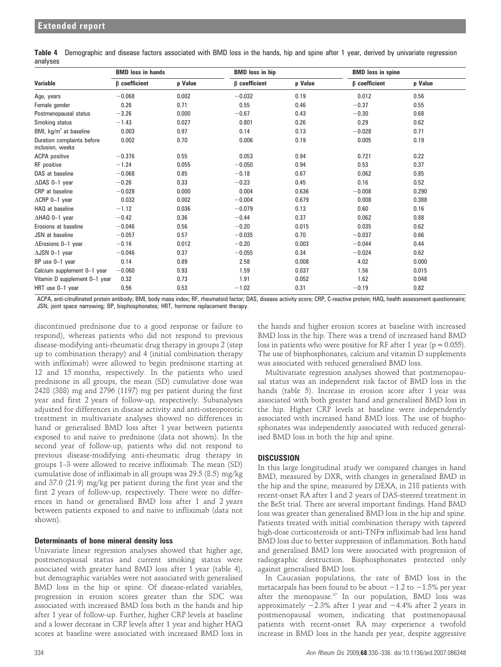| Variable                                       | <b>BMD</b> loss in hands |         | <b>BMD</b> loss in hip |         |                     | <b>BMD</b> loss in spine |
|------------------------------------------------|--------------------------|---------|------------------------|---------|---------------------|--------------------------|
|                                                | $\beta$ coefficient      | p Value | $\beta$ coefficient    | p Value | $\beta$ coefficient | p Value                  |
| Age, years                                     | $-0.068$                 | 0.002   | $-0.032$               | 0.19    | 0.012               | 0.56                     |
| Female gender                                  | 0.26                     | 0.71    | 0.55                   | 0.46    | $-0.37$             | 0.55                     |
| Postmenopausal status                          | $-3.26$                  | 0.000   | $-0.67$                | 0.43    | $-0.30$             | 0.68                     |
| Smoking status                                 | $-1.43$                  | 0.027   | 0.801                  | 0.26    | 0.29                | 0.62                     |
| BMI, $kg/m^2$ at baseline                      | 0.003                    | 0.97    | 0.14                   | 0.13    | $-0.028$            | 0.71                     |
| Duration complaints before<br>inclusion, weeks | 0.002                    | 0.70    | 0.006                  | 0.19    | 0.005               | 0.19                     |
| <b>ACPA</b> positive                           | $-0.376$                 | 0.55    | 0.053                  | 0.94    | 0.721               | 0.22                     |
| RF positive                                    | $-1.24$                  | 0.055   | $-0.050$               | 0.94    | 0.53                | 0.37                     |
| DAS at baseline                                | $-0.068$                 | 0.85    | $-0.18$                | 0.67    | 0.062               | 0.85                     |
| $\triangle$ DAS 0-1 year                       | $-0.26$                  | 0.33    | $-0.23$                | 0.45    | 0.16                | 0.52                     |
| CRP at baseline                                | $-0.028$                 | 0.000   | 0.004                  | 0.636   | $-0.008$            | 0.290                    |
| $\triangle$ CRP 0-1 year                       | 0.032                    | 0.002   | $-0.004$               | 0.679   | 0.008               | 0.388                    |
| HAQ at baseline                                | $-1.12$                  | 0.036   | $-0.079$               | 0.13    | 0.60                | 0.16                     |
| ∆HAQ 0-1 year                                  | $-0.42$                  | 0.36    | $-0.44$                | 0.37    | 0.062               | 0.88                     |
| Erosions at baseline                           | $-0.046$                 | 0.56    | $-0.20$                | 0.015   | 0.035               | 0.62                     |
| JSN at baseline                                | $-0.057$                 | 0.57    | $-0.035$               | 0.70    | $-0.037$            | 0.66                     |
| $\Delta$ Erosions 0-1 year                     | $-0.16$                  | 0.012   | $-0.20$                | 0.003   | $-0.044$            | 0.44                     |
| $\triangle$ JSN 0-1 year                       | $-0.046$                 | 0.37    | $-0.055$               | 0.34    | $-0.024$            | 0.62                     |
| BP use 0-1 year                                | 0.14                     | 0.89    | 2.58                   | 0.008   | 4.02                | 0.000                    |
| Calcium supplement 0-1 year                    | $-0.060$                 | 0.93    | 1.59                   | 0.037   | 1.56                | 0.015                    |
| Vitamin D supplement 0-1 year                  | 0.32                     | 0.73    | 1.91                   | 0.052   | 1.62                | 0.048                    |
| HRT use 0-1 year                               | 0.56                     | 0.53    | $-1.02$                | 0.31    | $-0.19$             | 0.82                     |

Table 4 Demographic and disease factors associated with BMD loss in the hands, hip and spine after 1 year, derived by univariate regression analyses

ACPA, anti-citrullinated protein antibody; BMI, body mass index; RF, rheumatoid factor; DAS, disease activity score; CRP, C-reactive protein; HAQ, health assessment questionnaire; JSN, joint space narrowing; BP, bisphosphonates; HRT, hormone replacement therapy.

discontinued prednisone due to a good response or failure to respond), whereas patients who did not respond to previous disease-modifying anti-rheumatic drug therapy in groups 2 (step up to combination therapy) and 4 (initial combination therapy with infliximab) were allowed to begin prednisone starting at 12 and 15 months, respectively. In the patients who used prednisone in all groups, the mean (SD) cumulative dose was 2428 (388) mg and 2796 (1197) mg per patient during the first year and first 2 years of follow-up, respectively. Subanalyses adjusted for differences in disease activity and anti-osteoporotic treatment in multivariate analyses showed no differences in hand or generalised BMD loss after 1 year between patients exposed to and naive to prednisone (data not shown). In the second year of follow-up, patients who did not respond to previous disease-modifying anti-rheumatic drug therapy in groups 1–3 were allowed to receive infliximab. The mean (SD) cumulative dose of infliximab in all groups was 29.5 (8.5) mg/kg and 37.0 (21.9) mg/kg per patient during the first year and the first 2 years of follow-up, respectively. There were no differences in hand or generalised BMD loss after 1 and 2 years between patients exposed to and naive to infliximab (data not shown).

## Determinants of bone mineral density loss

Univariate linear regression analyses showed that higher age, postmenopausal status and current smoking status were associated with greater hand BMD loss after 1 year (table 4), but demographic variables were not associated with generalised BMD loss in the hip or spine. Of disease-related variables, progression in erosion scores greater than the SDC was associated with increased BMD loss both in the hands and hip after 1 year of follow-up. Further, higher CRP levels at baseline and a lower decrease in CRP levels after 1 year and higher HAQ scores at baseline were associated with increased BMD loss in

the hands and higher erosion scores at baseline with increased BMD loss in the hip. There was a trend of increased hand BMD loss in patients who were positive for RF after 1 year ( $p = 0.055$ ). The use of bisphosphonates, calcium and vitamin D supplements was associated with reduced generalised BMD loss.

Multivariate regression analyses showed that postmenopausal status was an independent risk factor of BMD loss in the hands (table 5). Increase in erosion score after 1 year was associated with both greater hand and generalised BMD loss in the hip. Higher CRP levels at baseline were independently associated with increased hand BMD loss. The use of bisphosphonates was independently associated with reduced generalised BMD loss in both the hip and spine.

## **DISCUSSION**

In this large longitudinal study we compared changes in hand BMD, measured by DXR, with changes in generalised BMD in the hip and the spine, measured by DEXA, in 218 patients with recent-onset RA after 1 and 2 years of DAS-steered treatment in the BeSt trial. There are several important findings. Hand BMD loss was greater than generalised BMD loss in the hip and spine. Patients treated with initial combination therapy with tapered high-dose corticosteroids or anti-TNFa infliximab had less hand BMD loss due to better suppression of inflammation. Both hand and generalised BMD loss were associated with progression of radiographic destruction. Bisphosphonates protected only against generalised BMD loss.

In Caucasian populations, the rate of BMD loss in the metacarpals has been found to be about  $-1.2$  to  $-1.5%$  per year after the menopause. $37$  In our population, BMD loss was approximately  $-2.3\%$  after 1 year and  $-4.4\%$  after 2 years in postmenopausal women, indicating that postmenopausal patients with recent-onset RA may experience a twofold increase in BMD loss in the hands per year, despite aggressive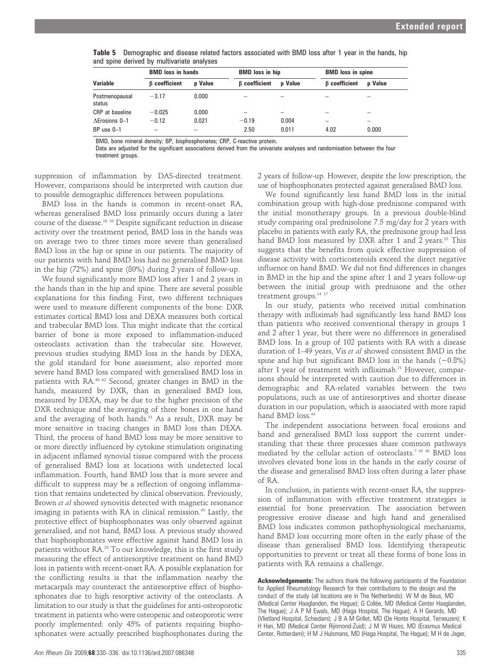| <b>Variable</b>          | <b>BMD</b> loss in hands |                          | <b>BMD</b> loss in hip |                | <b>BMD</b> loss in spine |                |
|--------------------------|--------------------------|--------------------------|------------------------|----------------|--------------------------|----------------|
|                          | <b>B</b> coefficient     | <b>p</b> Value           | <b>B</b> coefficient   | <b>p</b> Value | <b>B</b> coefficient     | <b>p</b> Value |
| Postmenopausal<br>status | $-3.17$                  | 0.000                    | -                      |                |                          |                |
| CRP at baseline          | $-0.025$                 | 0.000                    | -                      |                |                          |                |
| $A$ Erosions $0-1$       | $-0.12$                  | 0.021                    | $-0.19$                | 0.004          | -                        | -              |
| $BP$ use $0-1$           |                          | $\overline{\phantom{a}}$ | 2.50                   | 0.011          | 4.02                     | 0.000          |

Table 5 Demographic and disease related factors associated with BMD loss after 1 year in the hands, hip and spine derived by multivariate analyses

BMD, bone mineral density; BP, bisphosphonates; CRP, C-reactive protein.

Data are adjusted for the significant associations derived from the univariate analyses and randomisation between the four treatment groups.

suppression of inflammation by DAS-directed treatment. However, comparisons should be interpreted with caution due to possible demographic differences between populations.

BMD loss in the hands is common in recent-onset RA, whereas generalised BMD loss primarily occurs during a later course of the disease.38 39 Despite significant reduction in disease activity over the treatment period, BMD loss in the hands was on average two to three times more severe than generalised BMD loss in the hip or spine in our patients. The majority of our patients with hand BMD loss had no generalised BMD loss in the hip (72%) and spine (80%) during 2 years of follow-up.

We found significantly more BMD loss after 1 and 2 years in the hands than in the hip and spine. There are several possible explanations for this finding. First, two different techniques were used to measure different components of the bone: DXR estimates cortical BMD loss and DEXA measures both cortical and trabecular BMD loss. This might indicate that the cortical barrier of bone is more exposed to inflammation-induced osteoclasts activation than the trabecular site. However, previous studies studying BMD loss in the hands by DEXA, the gold standard for bone assessment, also reported more severe hand BMD loss compared with generalised BMD loss in patients with RA.40–42 Second, greater changes in BMD in the hands, measured by DXR, than in generalised BMD loss, measured by DEXA, may be due to the higher precision of the DXR technique and the averaging of three bones in one hand and the averaging of both hands.<sup>31</sup> As a result, DXR may be more sensitive in tracing changes in BMD loss than DEXA. Third, the process of hand BMD loss may be more sensitive to or more directly influenced by cytokine stimulation originating in adjacent inflamed synovial tissue compared with the process of generalised BMD loss at locations with undetected local inflammation. Fourth, hand BMD loss that is more severe and difficult to suppress may be a reflection of ongoing inflammation that remains undetected by clinical observation. Previously, Brown et al showed synovitis detected with magnetic resonance imaging in patients with RA in clinical remission.<sup>43</sup> Lastly, the protective effect of bisphosphonates was only observed against generalised, and not hand, BMD loss. A previous study showed that bisphosphonates were effective against hand BMD loss in patients without RA.29 To our knowledge, this is the first study measuring the effect of antiresorptive treatment on hand BMD loss in patients with recent-onset RA. A possible explanation for the conflicting results is that the inflammation nearby the metacarpals may counteract the antiresorptive effect of bisphosphonates due to high resorptive activity of the osteoclasts. A limitation to our study is that the guidelines for anti-osteoporotic treatment in patients who were osteopenic and osteoporotic were poorly implemented: only 45% of patients requiring bisphosphonates were actually prescribed bisphosphonates during the 2 years of follow-up. However, despite the low prescription, the use of bisphosphonates protected against generalised BMD loss.

We found significantly less hand BMD loss in the initial combination group with high-dose prednisone compared with the initial monotherapy groups. In a previous double-blind study comparing oral prednisolone 7.5 mg/day for 2 years with placebo in patients with early RA, the prednisone group had less hand BMD loss measured by DXR after 1 and 2 years.<sup>23</sup> This suggests that the benefits from quick effective suppression of disease activity with corticosteroids exceed the direct negative influence on hand BMD. We did not find differences in changes in BMD in the hip and the spine after 1 and 2 years follow-up between the initial group with prednisone and the other treatment groups.<sup>14 17</sup>

In our study, patients who received initial combination therapy with infliximab had significantly less hand BMD loss than patients who received conventional therapy in groups 1 and 2 after 1 year, but there were no differences in generalised BMD loss. In a group of 102 patients with RA with a disease duration of 1–49 years, Vis et al showed consistent BMD in the spine and hip but significant BMD loss in the hands  $(-0.8\%)$ after 1 year of treatment with infliximab.<sup>21</sup> However, comparisons should be interpreted with caution due to differences in demographic and RA-related variables between the two populations, such as use of antiresorptives and shorter disease duration in our population, which is associated with more rapid hand BMD loss.<sup>44</sup>

The independent associations between focal erosions and hand and generalised BMD loss support the current understanding that these three processes share common pathways mediated by the cellular action of osteoclasts.7 45 46 BMD loss involves elevated bone loss in the hands in the early course of the disease and generalised BMD loss often during a later phase of RA.

In conclusion, in patients with recent-onset RA, the suppression of inflammation with effective treatment strategies is essential for bone preservation. The association between progressive erosive disease and high hand and generalised BMD loss indicates common pathophysiological mechanisms, hand BMD loss occurring more often in the early phase of the disease than generalised BMD loss. Identifying therapeutic opportunities to prevent or treat all these forms of bone loss in patients with RA remains a challenge.

Acknowledgements: The authors thank the following participants of the Foundation for Applied Rheumatology Research for their contributions to the design and the conduct of the study (all locations are in The Netherlands): W M de Beus, MD (Medical Center Haaglanden, the Hague); G Collée, MD (Medical Center Haaglanden, The Hague); J A P M Ewals, MD (Haga Hospital, The Hague); A H Gerards, MD (Vlietland Hospital, Schiedam); J B A M Grillet, MD (De Honte Hospital, Terneuzen); K H Han, MD (Medical Center Rijnmond-Zuid); J M W Hazes, MD (Erasmus Medical Center, Rotterdam); H M J Hulsmans, MD (Haga Hospital, The Hague); M H de Jager,